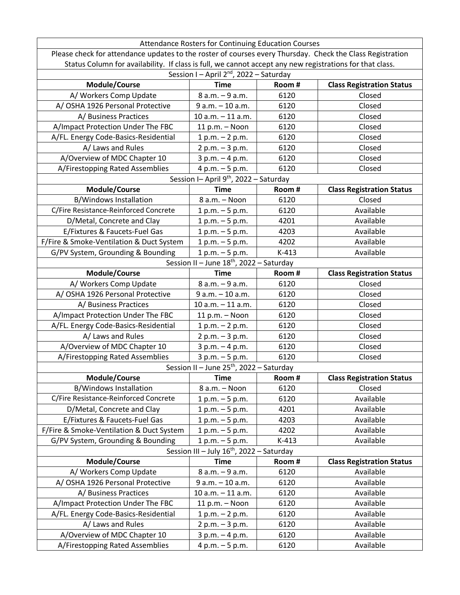| Attendance Rosters for Continuing Education Courses                                                       |                                                       |         |                                  |  |  |
|-----------------------------------------------------------------------------------------------------------|-------------------------------------------------------|---------|----------------------------------|--|--|
| Please check for attendance updates to the roster of courses every Thursday. Check the Class Registration |                                                       |         |                                  |  |  |
| Status Column for availability. If class is full, we cannot accept any new registrations for that class.  |                                                       |         |                                  |  |  |
| Session I - April 2 <sup>nd</sup> , 2022 - Saturday                                                       |                                                       |         |                                  |  |  |
| Module/Course                                                                                             | <b>Time</b>                                           | Room#   | <b>Class Registration Status</b> |  |  |
| A/ Workers Comp Update                                                                                    | 8 a.m. - 9 a.m.                                       | 6120    | Closed                           |  |  |
| A/OSHA 1926 Personal Protective                                                                           | 9 a.m. - 10 a.m.                                      | 6120    | Closed                           |  |  |
| A/Business Practices                                                                                      | $10 a.m. - 11 a.m.$                                   | 6120    | Closed                           |  |  |
| A/Impact Protection Under The FBC                                                                         | 11 p.m. - Noon                                        | 6120    | Closed                           |  |  |
| A/FL. Energy Code-Basics-Residential                                                                      | $1 p.m. - 2 p.m.$                                     | 6120    | Closed                           |  |  |
| A/ Laws and Rules                                                                                         | 2 p.m. - 3 p.m.                                       | 6120    | Closed                           |  |  |
| A/Overview of MDC Chapter 10                                                                              | $3 p.m. - 4 p.m.$                                     | 6120    | Closed                           |  |  |
| A/Firestopping Rated Assemblies                                                                           | 4 p.m. - 5 p.m.                                       | 6120    | Closed                           |  |  |
|                                                                                                           | Session I-April $9th$ , 2022 - Saturday               |         |                                  |  |  |
| Module/Course                                                                                             | <b>Time</b>                                           | Room#   | <b>Class Registration Status</b> |  |  |
| <b>B/Windows Installation</b>                                                                             | 8 a.m. - Noon                                         | 6120    | Closed                           |  |  |
| C/Fire Resistance-Reinforced Concrete                                                                     | $1 p.m. - 5 p.m.$                                     | 6120    | Available                        |  |  |
| D/Metal, Concrete and Clay                                                                                | $1 p.m. - 5 p.m.$                                     | 4201    | Available                        |  |  |
| E/Fixtures & Faucets-Fuel Gas                                                                             | $1 p.m. - 5 p.m.$                                     | 4203    | Available                        |  |  |
| F/Fire & Smoke-Ventilation & Duct System                                                                  | $1 p.m. - 5 p.m.$                                     | 4202    | Available                        |  |  |
| G/PV System, Grounding & Bounding                                                                         | $1 p.m. - 5 p.m.$                                     | $K-413$ | Available                        |  |  |
|                                                                                                           | Session II - June 18 <sup>th</sup> , 2022 - Saturday  |         |                                  |  |  |
| Module/Course                                                                                             | <b>Time</b>                                           | Room#   | <b>Class Registration Status</b> |  |  |
| A/ Workers Comp Update                                                                                    | 8 a.m. - 9 a.m.                                       | 6120    | Closed                           |  |  |
| A/OSHA 1926 Personal Protective                                                                           | 9 a.m. - 10 a.m.                                      | 6120    | Closed                           |  |  |
| A/Business Practices                                                                                      | $10 a.m. - 11 a.m.$                                   | 6120    | Closed                           |  |  |
| A/Impact Protection Under The FBC                                                                         | 11 p.m. - Noon                                        | 6120    | Closed                           |  |  |
| A/FL. Energy Code-Basics-Residential                                                                      | $1 p.m. - 2 p.m.$                                     | 6120    | Closed                           |  |  |
| A/ Laws and Rules                                                                                         | $2 p.m. - 3 p.m.$                                     | 6120    | Closed                           |  |  |
| A/Overview of MDC Chapter 10                                                                              | 3 p.m. - 4 p.m.                                       | 6120    | Closed                           |  |  |
| A/Firestopping Rated Assemblies                                                                           | 3 p.m. - 5 p.m.                                       | 6120    | Closed                           |  |  |
| Session II - June 25 <sup>th</sup> , 2022 - Saturday                                                      |                                                       |         |                                  |  |  |
| Module/Course                                                                                             | <b>Time</b>                                           | Room#   | <b>Class Registration Status</b> |  |  |
| <b>B/Windows Installation</b>                                                                             | 8 a.m. - Noon                                         | 6120    | Closed                           |  |  |
| C/Fire Resistance-Reinforced Concrete                                                                     | $1 p.m. - 5 p.m.$                                     | 6120    | Available                        |  |  |
| D/Metal, Concrete and Clay                                                                                | $1 p.m. - 5 p.m.$                                     | 4201    | Available                        |  |  |
| E/Fixtures & Faucets-Fuel Gas                                                                             | $1 p.m. - 5 p.m.$                                     | 4203    | Available                        |  |  |
| F/Fire & Smoke-Ventilation & Duct System                                                                  | $1 p.m. - 5 p.m.$                                     | 4202    | Available                        |  |  |
| G/PV System, Grounding & Bounding                                                                         | $1 p.m. - 5 p.m.$                                     | $K-413$ | Available                        |  |  |
|                                                                                                           | Session III - July 16 <sup>th</sup> , 2022 - Saturday |         |                                  |  |  |
| Module/Course                                                                                             | <b>Time</b>                                           | Room#   | <b>Class Registration Status</b> |  |  |
| A/Workers Comp Update                                                                                     | 8 a.m. - 9 a.m.                                       | 6120    | Available                        |  |  |
| A/OSHA 1926 Personal Protective                                                                           | 9 a.m. - 10 a.m.                                      | 6120    | Available                        |  |  |
| A/ Business Practices                                                                                     | $10 a.m. - 11 a.m.$                                   | 6120    | Available                        |  |  |
| A/Impact Protection Under The FBC                                                                         | 11 p.m. - Noon                                        | 6120    | Available                        |  |  |
| A/FL. Energy Code-Basics-Residential                                                                      | $1 p.m. - 2 p.m.$                                     | 6120    | Available                        |  |  |
| A/ Laws and Rules                                                                                         | $2 p.m. - 3 p.m.$                                     | 6120    | Available                        |  |  |
| A/Overview of MDC Chapter 10                                                                              | $3 p.m. - 4 p.m.$                                     | 6120    | Available                        |  |  |
| A/Firestopping Rated Assemblies                                                                           | 4 p.m. - 5 p.m.                                       | 6120    | Available                        |  |  |